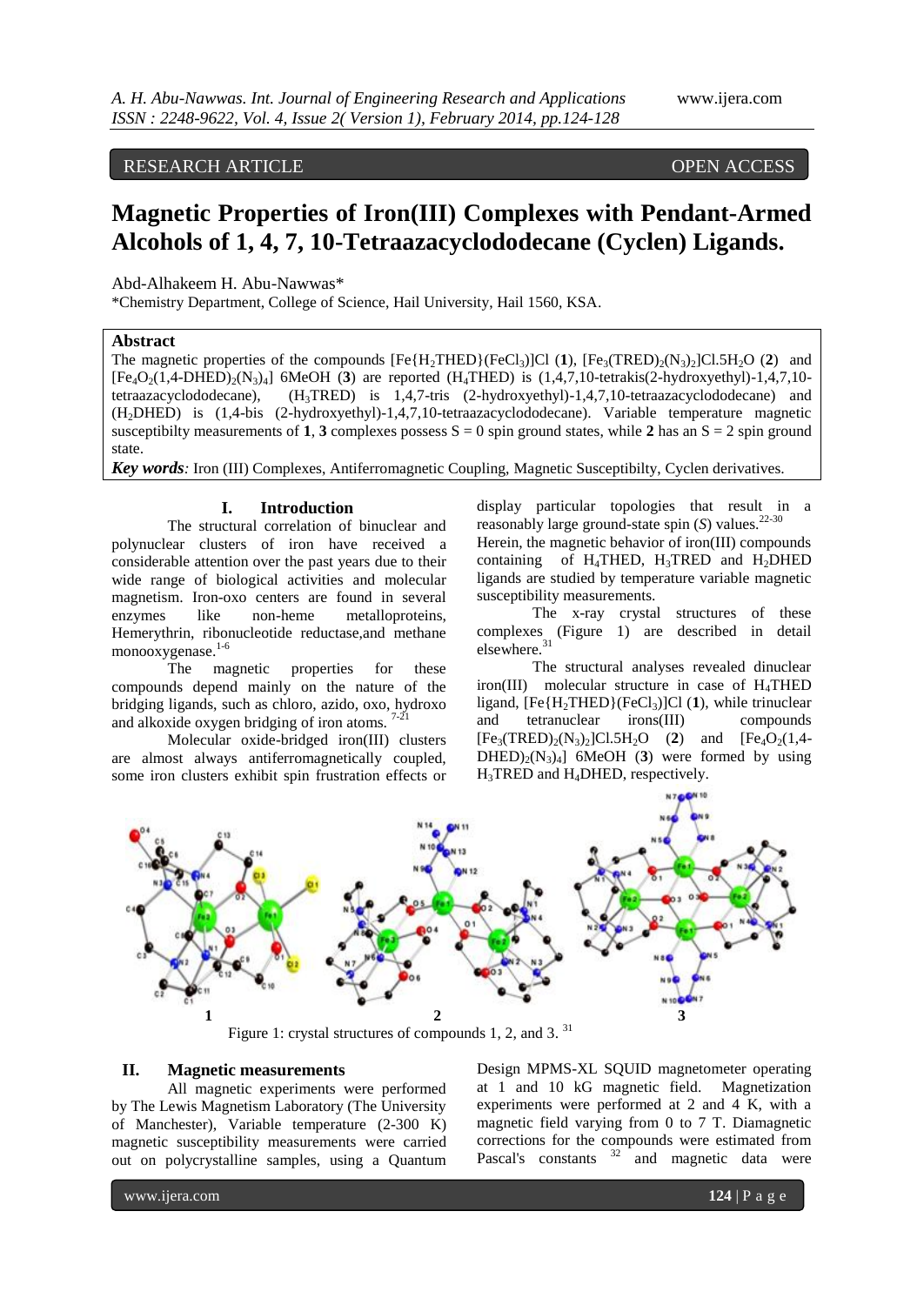RESEARCH ARTICLE OPEN ACCESS

# **Magnetic Properties of Iron(III) Complexes with Pendant-Armed Alcohols of 1, 4, 7, 10-Tetraazacyclododecane (Cyclen) Ligands.**

Abd-Alhakeem H. Abu-Nawwas\*

\*Chemistry Department, College of Science, Hail University, Hail 1560, KSA.

## **Abstract**

The magnetic properties of the compounds  $[Fe{H_2}THED){[FeCl_3]}Cl$  (1),  $[Fe_3(TRED)_2(N_3)_2]Cl.5H_2O$  (2) and  $[Fe_4O_2(1,4-DHED)_2(N_3)_4]$  6MeOH (3) are reported (H<sub>4</sub>THED) is  $(1,4,7,10$ -tetrakis(2-hydroxyethyl)-1,4,7,10tetraazacyclododecane), (H3TRED) is 1,4,7-tris (2-hydroxyethyl)-1,4,7,10-tetraazacyclododecane) and (H2DHED) is (1,4-bis (2-hydroxyethyl)-1,4,7,10-tetraazacyclododecane). Variable temperature magnetic susceptibilty measurements of **1**, **3** complexes possess  $S = 0$  spin ground states, while **2** has an  $S = 2$  spin ground state.

*Key words:* Iron (III) Complexes, Antiferromagnetic Coupling, Magnetic Susceptibilty, Cyclen derivatives.

#### **I. Introduction**

The structural correlation of binuclear and polynuclear clusters of iron have received a considerable attention over the past years due to their wide range of biological activities and molecular magnetism. Iron-oxo centers are found in several enzymes like non-heme metalloproteins, Hemerythrin, ribonucleotide reductase,and methane monooxygenase. 1-6

The magnetic properties for these compounds depend mainly on the nature of the bridging ligands, such as chloro, azido, oxo, hydroxo and alkoxide oxygen bridging of iron atoms.  $7-21$ 

Molecular oxide-bridged iron(III) clusters are almost always antiferromagnetically coupled, some iron clusters exhibit spin frustration effects or display particular topologies that result in a reasonably large ground-state spin  $(S)$  values.<sup>2</sup>

Herein, the magnetic behavior of iron(III) compounds containing of H<sub>4</sub>THED, H<sub>3</sub>TRED and H<sub>2</sub>DHED ligands are studied by temperature variable magnetic susceptibility measurements.

The x-ray crystal structures of these complexes (Figure 1) are described in detail elsewhere.<sup>31</sup>

The structural analyses revealed dinuclear iron(III) molecular structure in case of H4THED ligand,  $[Fe{H_2}THED{[FeCl_3]}Cl (1)$ , while trinuclear and tetranuclear irons(III) compounds  $[Fe_3(TRED)_2(N_3)_2]C1.5H_2O$  (2) and  $[Fe_4O_2(1,4 DHED_{2}(N_{3})_{4}$ ] 6MeOH (3) were formed by using H3TRED and H4DHED, respectively.



Figure 1: crystal structures of compounds 1, 2, and 3.  $31$ 

## **II. Magnetic measurements**

All magnetic experiments were performed by The Lewis Magnetism Laboratory (The University of Manchester), Variable temperature (2-300 K) magnetic susceptibility measurements were carried out on polycrystalline samples, using a Quantum

Design MPMS-XL SQUID magnetometer operating at 1 and 10 kG magnetic field. Magnetization experiments were performed at 2 and 4 K, with a magnetic field varying from 0 to 7 T. Diamagnetic corrections for the compounds were estimated from Pascal's constants  $32$  and magnetic data were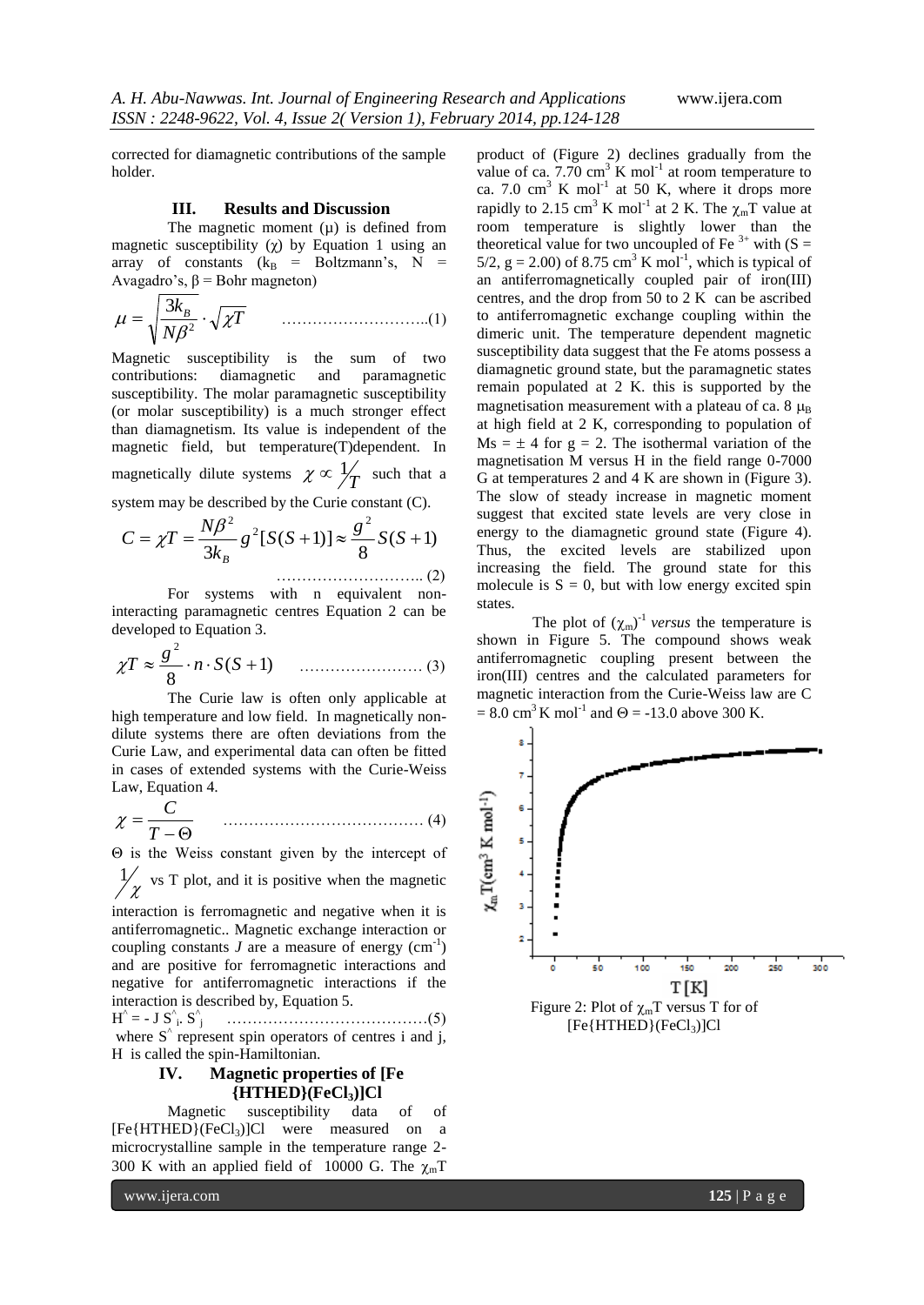corrected for diamagnetic contributions of the sample holder.

## **III. Results and Discussion**

The magnetic moment  $(\mu)$  is defined from magnetic susceptibility  $(χ)$  by Equation 1 using an array of constants  $(k_B = Boltzmann's, N =$ Avagadro's,  $β = Bohr$  magneton)

*T N <sup>k</sup><sup>B</sup>* 2 3 ………………………..(1)

Magnetic susceptibility is the sum of two contributions: diamagnetic and paramagnetic susceptibility. The molar paramagnetic susceptibility (or molar susceptibility) is a much stronger effect than diamagnetism. Its value is independent of the magnetic field, but temperature(T)dependent. In magnetically dilute systems  $\chi \propto \frac{1}{T}$  such that a system may be described by the Curie constant (C).

$$
C = \chi T = \frac{N\beta^2}{3k_B} g^2 [S(S+1)] \approx \frac{g^2}{8} S(S+1)
$$

For systems with n equivalent non-<br>interacting paramagnetic centres Equation 2 can be For systems with n equivalent nondeveloped to Equation 3.

$$
\chi T \approx \frac{g^2}{8} \cdot n \cdot S(S+1) \qquad \qquad (3)
$$

The Curie law is often only applicable at high temperature and low field. In magnetically nondilute systems there are often deviations from the Curie Law, and experimental data can often be fitted in cases of extended systems with the Curie-Weiss Law, Equation 4.

 $-\Theta$  $=$ *T C* ………………………………… (4)

Θ is the Weiss constant given by the intercept of  $\frac{1}{x}$  vs T plot, and it is positive when the magnetic

χ

interaction is ferromagnetic and negative when it is antiferromagnetic.. Magnetic exchange interaction or coupling constants  $J$  are a measure of energy  $(cm^{-1})$ and are positive for ferromagnetic interactions and negative for antiferromagnetic interactions if the interaction is described by, Equation 5.

H ^ = - J S^ i . S^ j …………………………………(5) where  $S^{\wedge}$  represent spin operators of centres i and j, H is called the spin-Hamiltonian.

# **IV. Magnetic properties of [Fe {HTHED}(FeCl3)]Cl**

Magnetic susceptibility data of of  $[Fe{HTHED}(FeCl<sub>3</sub>)]Cl$  were measured on a microcrystalline sample in the temperature range 2- 300 K with an applied field of 10000 G. The  $\chi_{\rm m}$ T

product of (Figure 2) declines gradually from the value of ca. 7.70 cm<sup>3</sup> K mol<sup>-1</sup> at room temperature to ca. 7.0  $\text{cm}^3$  K mol<sup>-1</sup> at 50 K, where it drops more rapidly to 2.15 cm<sup>3</sup> K mol<sup>-1</sup> at 2 K. The  $\chi_{m}T$  value at room temperature is slightly lower than the theoretical value for two uncoupled of Fe<sup>3+</sup> with (S = 5/2,  $g = 2.00$ ) of 8.75 cm<sup>3</sup> K mol<sup>-1</sup>, which is typical of an antiferromagnetically coupled pair of iron(III) centres, and the drop from 50 to 2 K can be ascribed to antiferromagnetic exchange coupling within the dimeric unit. The temperature dependent magnetic susceptibility data suggest that the Fe atoms possess a diamagnetic ground state, but the paramagnetic states remain populated at 2 K. this is supported by the magnetisation measurement with a plateau of ca.  $8 \mu_B$ at high field at 2 K, corresponding to population of  $Ms = \pm 4$  for  $g = 2$ . The isothermal variation of the magnetisation M versus H in the field range 0-7000 G at temperatures 2 and 4 K are shown in (Figure 3). The slow of steady increase in magnetic moment suggest that excited state levels are very close in energy to the diamagnetic ground state (Figure 4). Thus, the excited levels are stabilized upon increasing the field. The ground state for this molecule is  $S = 0$ , but with low energy excited spin states.

The plot of  $(\chi_m)^{-1}$  *versus* the temperature is shown in Figure 5. The compound shows weak antiferromagnetic coupling present between the iron(III) centres and the calculated parameters for magnetic interaction from the Curie-Weiss law are C  $= 8.0 \text{ cm}^3 \text{ K} \text{ mol}^{-1}$  and  $\Theta = -13.0$  above 300 K.



www.ijera.com **125** | P a g e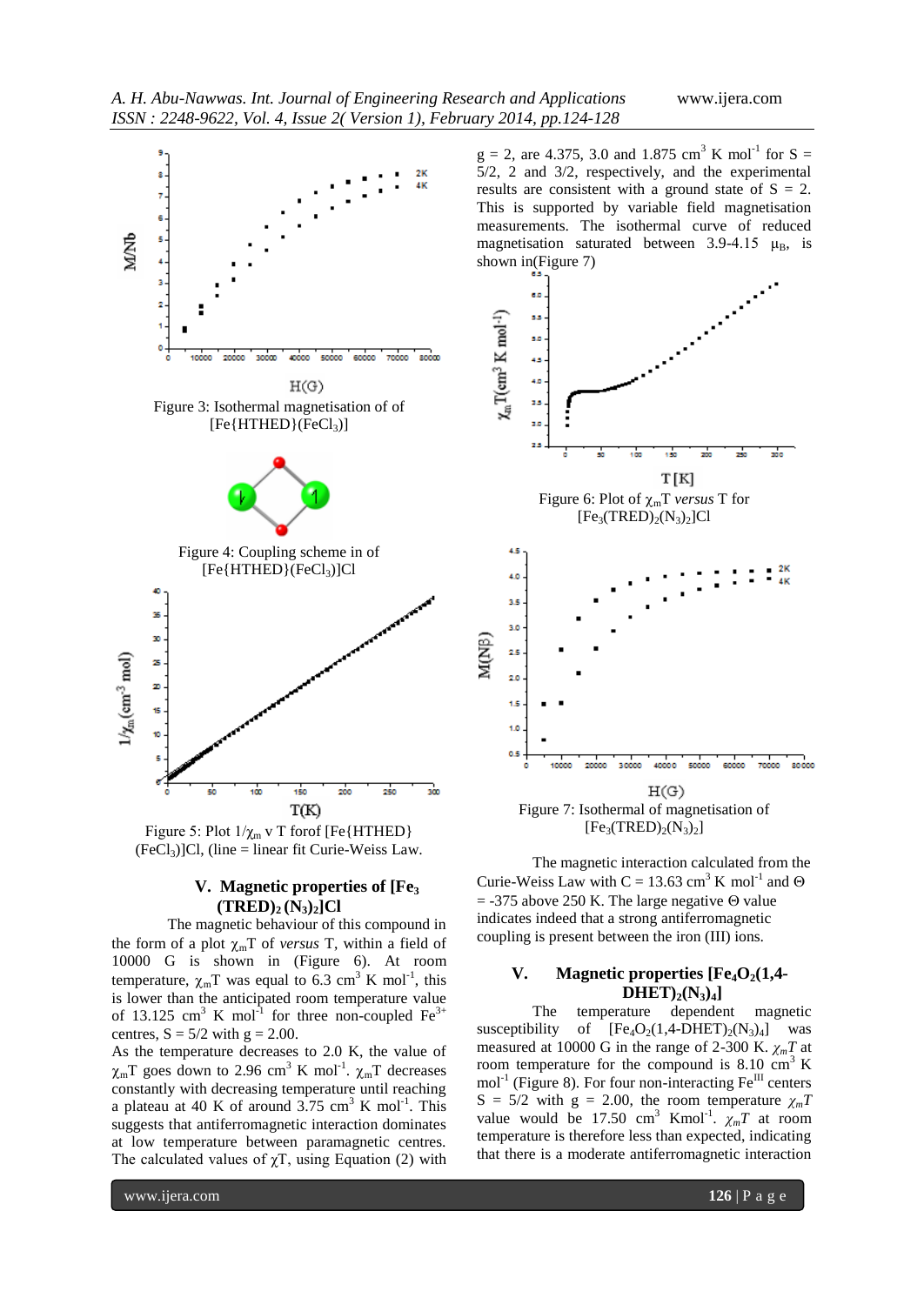

Figure 5: Plot  $1/\chi_m$  v T forof [Fe{HTHED}  $(FeCl<sub>3</sub>)$ ]Cl, (line = linear fit Curie-Weiss Law.

## **V. Magnetic properties of [Fe<sup>3</sup> (TRED)<sup>2</sup> (N3)2]Cl**

The magnetic behaviour of this compound in the form of a plot  $\chi_m T$  of *versus* T, within a field of 10000 G is shown in (Figure 6). At room temperature,  $\chi_m T$  was equal to 6.3 cm<sup>3</sup> K mol<sup>-1</sup>, this is lower than the anticipated room temperature value of 13.125 cm<sup>3</sup> K mol<sup>-1</sup> for three non-coupled Fe<sup>3+</sup> centres,  $S = 5/2$  with  $g = 2.00$ .

As the temperature decreases to 2.0 K, the value of  $\chi_{m}$ T goes down to 2.96 cm<sup>3</sup> K mol<sup>-1</sup>.  $\chi_{m}$ T decreases constantly with decreasing temperature until reaching a plateau at 40 K of around  $3.75 \text{ cm}^3$  K mol<sup>-1</sup>. This suggests that antiferromagnetic interaction dominates at low temperature between paramagnetic centres. The calculated values of  $\chi$ T, using Equation (2) with

 $g = 2$ , are 4.375, 3.0 and 1.875 cm<sup>3</sup> K mol<sup>-1</sup> for S = 5/2, 2 and 3/2, respectively, and the experimental results are consistent with a ground state of  $S = 2$ . This is supported by variable field magnetisation measurements. The isothermal curve of reduced magnetisation saturated between 3.9-4.15  $\mu_B$ , is shown in(Figure 7)



 $[Fe<sub>3</sub>(TRED)<sub>2</sub>(N<sub>3</sub>)<sub>2</sub>]$ 

The magnetic interaction calculated from the Curie-Weiss Law with C = 13.63 cm<sup>3</sup> K mol<sup>-1</sup> and  $\Theta$  $=$  -375 above 250 K. The large negative  $\Theta$  value indicates indeed that a strong antiferromagnetic coupling is present between the iron (III) ions.

## **V. Magnetic properties [Fe4O2(1,4- DHET)2(N3)4]**

The temperature dependent magnetic susceptibility of  $[Fe_4O_2(1,4-DHET)_2(N_3)_4]$  was measured at 10000 G in the range of 2-300 K.  $\chi_m T$  at room temperature for the compound is  $8.10 \text{ cm}^3$  K  $mol<sup>-1</sup>$  (Figure 8). For four non-interacting Fe<sup>III</sup> centers  $S = 5/2$  with  $g = 2.00$ , the room temperature  $\chi_m T$ value would be 17.50 cm<sup>3</sup> Kmol<sup>-1</sup>.  $\chi_m T$  at room temperature is therefore less than expected, indicating that there is a moderate antiferromagnetic interaction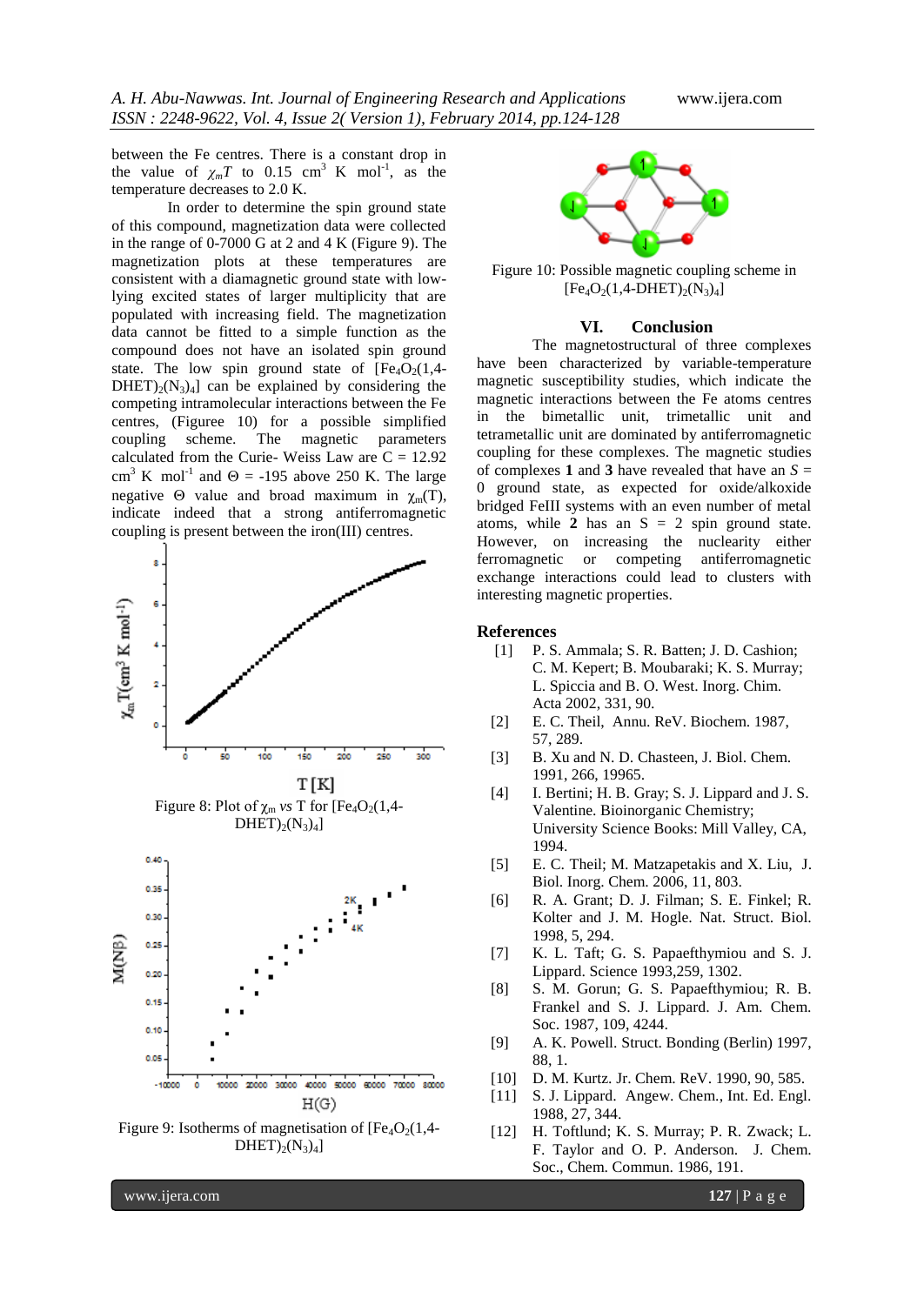between the Fe centres. There is a constant drop in the value of  $\chi_m T$  to 0.15 cm<sup>3</sup> K mol<sup>-1</sup>, as the temperature decreases to 2.0 K.

In order to determine the spin ground state of this compound, magnetization data were collected in the range of 0-7000 G at 2 and 4 K (Figure 9). The magnetization plots at these temperatures are consistent with a diamagnetic ground state with lowlying excited states of larger multiplicity that are populated with increasing field. The magnetization data cannot be fitted to a simple function as the compound does not have an isolated spin ground state. The low spin ground state of  $[Fe<sub>4</sub>O<sub>2</sub>(1,4 DHET_{2}(N_{3})_{4}$ ] can be explained by considering the competing intramolecular interactions between the Fe centres, (Figuree 10) for a possible simplified coupling scheme. The magnetic parameters calculated from the Curie-Weiss Law are  $C = 12.92$ cm<sup>3</sup> K mol<sup>-1</sup> and  $\Theta$  = -195 above 250 K. The large negative  $\Theta$  value and broad maximum in  $\gamma_m(T)$ , indicate indeed that a strong antiferromagnetic coupling is present between the iron(III) centres.



Figure 9: Isotherms of magnetisation of  $[Fe_4O_2(1,4 DHET)_{2}(N_{3})_{4}$ ]



Figure 10: Possible magnetic coupling scheme in  $[Fe<sub>4</sub>O<sub>2</sub>(1,4-DHET)<sub>2</sub>(N<sub>3</sub>)<sub>4</sub>]$ 

## **VI. Conclusion**

The magnetostructural of three complexes have been characterized by variable-temperature magnetic susceptibility studies, which indicate the magnetic interactions between the Fe atoms centres in the bimetallic unit, trimetallic unit and tetrametallic unit are dominated by antiferromagnetic coupling for these complexes. The magnetic studies of complexes **1** and **3** have revealed that have an *S* = 0 ground state, as expected for oxide/alkoxide bridged FeIII systems with an even number of metal atoms, while  $2$  has an  $S = 2$  spin ground state. However, on increasing the nuclearity either ferromagnetic or competing antiferromagnetic exchange interactions could lead to clusters with interesting magnetic properties.

## **References**

- [1] P. S. Ammala; S. R. Batten; J. D. Cashion; C. M. Kepert; B. Moubaraki; K. S. Murray; L. Spiccia and B. O. West. Inorg. Chim. Acta 2002, 331, 90.
- [2] E. C. Theil, Annu. ReV. Biochem. 1987, 57, 289.
- [3] B. Xu and N. D. Chasteen, J. Biol. Chem. 1991, 266, 19965.
- [4] I. Bertini; H. B. Gray; S. J. Lippard and J. S. Valentine. Bioinorganic Chemistry; University Science Books: Mill Valley, CA, 1994.
- [5] E. C. Theil; M. Matzapetakis and X. Liu, J. Biol. Inorg. Chem. 2006, 11, 803.
- [6] R. A. Grant; D. J. Filman; S. E. Finkel; R. Kolter and J. M. Hogle. Nat. Struct. Biol. 1998, 5, 294.
- [7] K. L. Taft; G. S. Papaefthymiou and S. J. Lippard. Science 1993,259, 1302.
- [8] S. M. Gorun; G. S. Papaefthymiou; R. B. Frankel and S. J. Lippard. J. Am. Chem. Soc. 1987, 109, 4244.
- [9] A. K. Powell. Struct. Bonding (Berlin) 1997, 88, 1.
- [10] D. M. Kurtz. Jr. Chem. ReV. 1990, 90, 585.
- [11] S. J. Lippard. Angew. Chem., Int. Ed. Engl. 1988, 27, 344.
- [12] H. Toftlund; K. S. Murray; P. R. Zwack; L. F. Taylor and O. P. Anderson. J. Chem. Soc., Chem. Commun. 1986, 191.

www.ijera.com **127** | P a g e